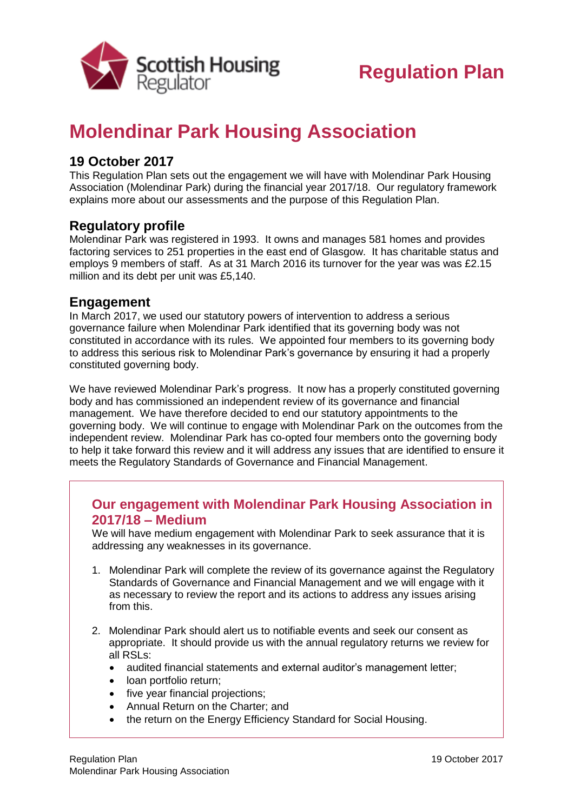

# **Molendinar Park Housing Association**

## **19 October 2017**

This Regulation Plan sets out the engagement we will have with Molendinar Park Housing Association (Molendinar Park) during the financial year 2017/18. Our regulatory framework explains more about our assessments and the purpose of this Regulation Plan.

## **Regulatory profile**

Molendinar Park was registered in 1993. It owns and manages 581 homes and provides factoring services to 251 properties in the east end of Glasgow. It has charitable status and employs 9 members of staff. As at 31 March 2016 its turnover for the year was was £2.15 million and its debt per unit was £5,140.

#### **Engagement**

In March 2017, we used our statutory powers of intervention to address a serious governance failure when Molendinar Park identified that its governing body was not constituted in accordance with its rules. We appointed four members to its governing body to address this serious risk to Molendinar Park's governance by ensuring it had a properly constituted governing body.

We have reviewed Molendinar Park's progress. It now has a properly constituted governing body and has commissioned an independent review of its governance and financial management. We have therefore decided to end our statutory appointments to the governing body. We will continue to engage with Molendinar Park on the outcomes from the independent review. Molendinar Park has co-opted four members onto the governing body to help it take forward this review and it will address any issues that are identified to ensure it meets the Regulatory Standards of Governance and Financial Management.

#### **Our engagement with Molendinar Park Housing Association in 2017/18 – Medium**

We will have medium engagement with Molendinar Park to seek assurance that it is addressing any weaknesses in its governance.

- 1. Molendinar Park will complete the review of its governance against the Regulatory Standards of Governance and Financial Management and we will engage with it as necessary to review the report and its actions to address any issues arising from this.
- 2. Molendinar Park should alert us to notifiable events and seek our consent as appropriate. It should provide us with the annual regulatory returns we review for all RSLs:
	- audited financial statements and external auditor's management letter;
	- loan portfolio return:
	- five year financial projections:
	- Annual Return on the Charter: and
	- the return on the Energy Efficiency Standard for Social Housing.